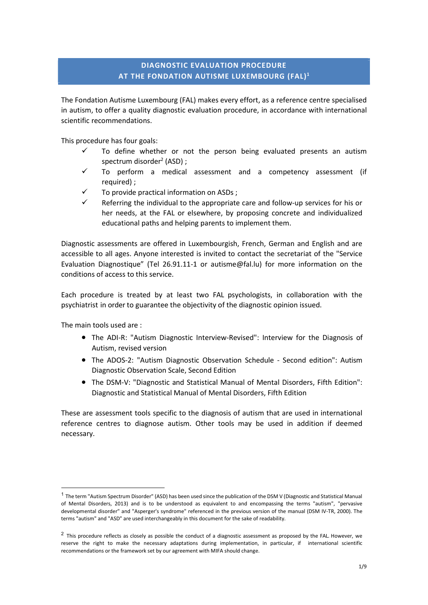# DIAGNOSTIC EVALUATION PROCEDURE AT THE FONDATION AUTISME LUXEMBOURG (FAL)<sup>1</sup>

The Fondation Autisme Luxembourg (FAL) makes every effort, as a reference centre specialised in autism, to offer a quality diagnostic evaluation procedure, in accordance with international scientific recommendations.

This procedure has four goals:

- To define whether or not the person being evaluated presents an autism spectrum disorder<sup>2</sup> (ASD) ;
	- $\checkmark$  To perform a medical assessment and a competency assessment (if required) ;
	- To provide practical information on ASDs ;
	- Referring the individual to the appropriate care and follow-up services for his or her needs, at the FAL or elsewhere, by proposing concrete and individualized educational paths and helping parents to implement them.

Diagnostic assessments are offered in Luxembourgish, French, German and English and are accessible to all ages. Anyone interested is invited to contact the secretariat of the "Service Evaluation Diagnostique" (Tel 26.91.11-1 or autisme@fal.lu) for more information on the conditions of access to this service.

Each procedure is treated by at least two FAL psychologists, in collaboration with the psychiatrist in order to guarantee the objectivity of the diagnostic opinion issued.

The main tools used are :

-

- The ADI-R: "Autism Diagnostic Interview-Revised": Interview for the Diagnosis of Autism, revised version
- The ADOS-2: "Autism Diagnostic Observation Schedule Second edition": Autism Diagnostic Observation Scale, Second Edition
- The DSM-V: "Diagnostic and Statistical Manual of Mental Disorders, Fifth Edition": Diagnostic and Statistical Manual of Mental Disorders, Fifth Edition

These are assessment tools specific to the diagnosis of autism that are used in international reference centres to diagnose autism. Other tools may be used in addition if deemed necessary.

<sup>&</sup>lt;sup>1</sup> The term "Autism Spectrum Disorder" (ASD) has been used since the publication of the DSM V (Diagnostic and Statistical Manual of Mental Disorders, 2013) and is to be understood as equivalent to and encompassing the terms "autism", "pervasive developmental disorder" and "Asperger's syndrome" referenced in the previous version of the manual (DSM IV-TR, 2000). The terms "autism" and "ASD" are used interchangeably in this document for the sake of readability.

<sup>&</sup>lt;sup>2</sup> This procedure reflects as closely as possible the conduct of a diagnostic assessment as proposed by the FAL. However, we reserve the right to make the necessary adaptations during implementation, in particular, if international scientific recommendations or the framework set by our agreement with MIFA should change.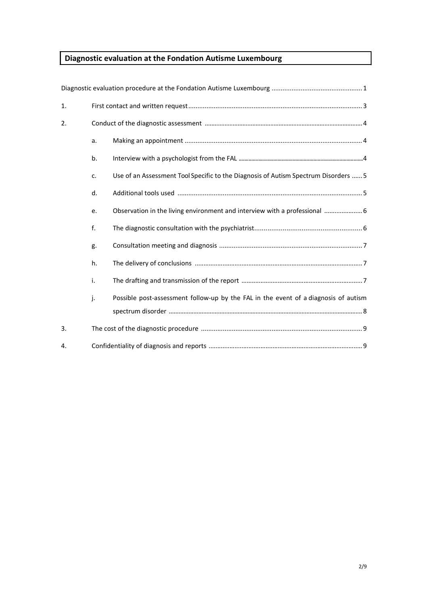# Diagnostic evaluation at the Fondation Autisme Luxembourg

| 1. |    |                                                                                     |
|----|----|-------------------------------------------------------------------------------------|
| 2. |    |                                                                                     |
|    | a. |                                                                                     |
|    | b. |                                                                                     |
|    | c. | Use of an Assessment Tool Specific to the Diagnosis of Autism Spectrum Disorders  5 |
|    | d. |                                                                                     |
|    | e. | Observation in the living environment and interview with a professional  6          |
|    | f. |                                                                                     |
|    | g. |                                                                                     |
|    | h. |                                                                                     |
|    | i. |                                                                                     |
|    | j. | Possible post-assessment follow-up by the FAL in the event of a diagnosis of autism |
|    |    |                                                                                     |
| 3. |    |                                                                                     |
| 4. |    |                                                                                     |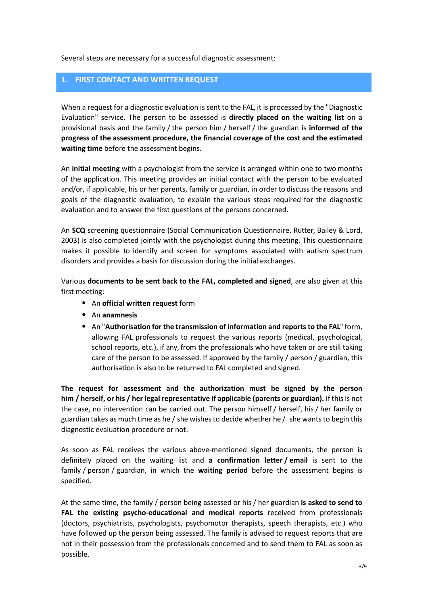Several steps are necessary for a successful diagnostic assessment:

#### 1. FIRST CONTACT AND WRITTEN REQUEST

When a request for a diagnostic evaluation is sent to the FAL, it is processed by the "Diagnostic Evaluation" service. The person to be assessed is directly placed on the waiting list on a provisional basis and the family / the person him / herself / the guardian is informed of the progress of the assessment procedure, the financial coverage of the cost and the estimated waiting time before the assessment begins.

An initial meeting with a psychologist from the service is arranged within one to two months of the application. This meeting provides an initial contact with the person to be evaluated and/or, if applicable, his or her parents, family or guardian, in order to discuss the reasons and goals of the diagnostic evaluation, to explain the various steps required for the diagnostic evaluation and to answer the first questions of the persons concerned.

An SCQ screening questionnaire (Social Communication Questionnaire, Rutter, Bailey & Lord, 2003) is also completed jointly with the psychologist during this meeting. This questionnaire makes it possible to identify and screen for symptoms associated with autism spectrum disorders and provides a basis for discussion during the initial exchanges.

Various documents to be sent back to the FAL, completed and signed, are also given at this first meeting:

- An official written request form
- An anamnesis
- An "Authorisation for the transmission of information and reports to the FAL" form, allowing FAL professionals to request the various reports (medical, psychological, school reports, etc.), if any, from the professionals who have taken or are still taking care of the person to be assessed. If approved by the family / person / guardian, this authorisation is also to be returned to FAL completed and signed.

The request for assessment and the authorization must be signed by the person him / herself, or his / her legal representative if applicable (parents or guardian). If this is not the case, no intervention can be carried out. The person himself / herself, his / her family or guardian takes as much time as he / she wishes to decide whether he / she wants to begin this diagnostic evaluation procedure or not.

As soon as FAL receives the various above-mentioned signed documents, the person is definitely placed on the waiting list and a confirmation letter / email is sent to the family / person / guardian, in which the waiting period before the assessment begins is specified.

At the same time, the family / person being assessed or his / her guardian is asked to send to FAL the existing psycho-educational and medical reports received from professionals (doctors, psychiatrists, psychologists, psychomotor therapists, speech therapists, etc.) who have followed up the person being assessed. The family is advised to request reports that are not in their possession from the professionals concerned and to send them to FAL as soon as possible.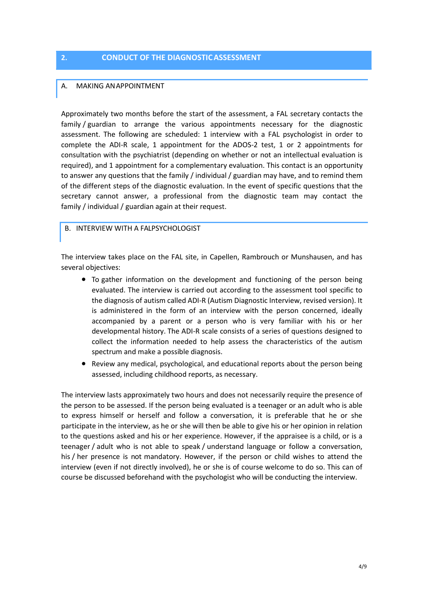#### 2. CONDUCT OF THE DIAGNOSTIC ASSESSMENT

#### A. MAKING AN APPOINTMENT

Approximately two months before the start of the assessment, a FAL secretary contacts the family / guardian to arrange the various appointments necessary for the diagnostic assessment. The following are scheduled: 1 interview with a FAL psychologist in order to complete the ADI-R scale, 1 appointment for the ADOS-2 test, 1 or 2 appointments for consultation with the psychiatrist (depending on whether or not an intellectual evaluation is required), and 1 appointment for a complementary evaluation. This contact is an opportunity to answer any questions that the family / individual / guardian may have, and to remind them of the different steps of the diagnostic evaluation. In the event of specific questions that the secretary cannot answer, a professional from the diagnostic team may contact the family / individual / guardian again at their request.

#### B. INTERVIEW WITH A FALPSYCHOLOGIST

The interview takes place on the FAL site, in Capellen, Rambrouch or Munshausen, and has several objectives:

- To gather information on the development and functioning of the person being evaluated. The interview is carried out according to the assessment tool specific to the diagnosis of autism called ADI-R (Autism Diagnostic Interview, revised version). It is administered in the form of an interview with the person concerned, ideally accompanied by a parent or a person who is very familiar with his or her developmental history. The ADI-R scale consists of a series of questions designed to collect the information needed to help assess the characteristics of the autism spectrum and make a possible diagnosis.
- Review any medical, psychological, and educational reports about the person being assessed, including childhood reports, as necessary.

The interview lasts approximately two hours and does not necessarily require the presence of the person to be assessed. If the person being evaluated is a teenager or an adult who is able to express himself or herself and follow a conversation, it is preferable that he or she participate in the interview, as he or she will then be able to give his or her opinion in relation to the questions asked and his or her experience. However, if the appraisee is a child, or is a teenager / adult who is not able to speak / understand language or follow a conversation, his / her presence is not mandatory. However, if the person or child wishes to attend the interview (even if not directly involved), he or she is of course welcome to do so. This can of course be discussed beforehand with the psychologist who will be conducting the interview.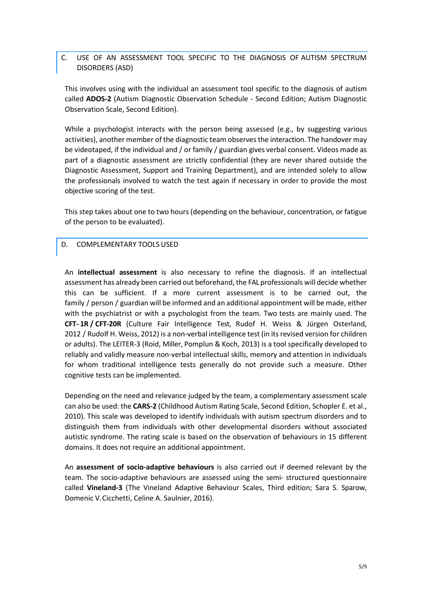## C. USE OF AN ASSESSMENT TOOL SPECIFIC TO THE DIAGNOSIS OF AUTISM SPECTRUM DISORDERS (ASD)

This involves using with the individual an assessment tool specific to the diagnosis of autism called ADOS-2 (Autism Diagnostic Observation Schedule - Second Edition; Autism Diagnostic Observation Scale, Second Edition).

While a psychologist interacts with the person being assessed (e.g., by suggesting various activities), another member of the diagnostic team observes the interaction. The handover may be videotaped, if the individual and / or family / guardian gives verbal consent. Videos made as part of a diagnostic assessment are strictly confidential (they are never shared outside the Diagnostic Assessment, Support and Training Department), and are intended solely to allow the professionals involved to watch the test again if necessary in order to provide the most objective scoring of the test.

This step takes about one to two hours (depending on the behaviour, concentration, or fatigue of the person to be evaluated).

#### D. COMPLEMENTARY TOOLS USED

An **intellectual assessment** is also necessary to refine the diagnosis. If an intellectual assessment has already been carried out beforehand, the FAL professionals will decide whether this can be sufficient. If a more current assessment is to be carried out, the family / person / guardian will be informed and an additional appointment will be made, either with the psychiatrist or with a psychologist from the team. Two tests are mainly used. The CFT- 1R / CFT-20R (Culture Fair Intelligence Test, Rudof H. Weiss & Jürgen Osterland, 2012 / Rudolf H. Weiss, 2012) is a non-verbal intelligence test (in its revised version for children or adults). The LEITER-3 (Roid, Miller, Pomplun & Koch, 2013) is a tool specifically developed to reliably and validly measure non-verbal intellectual skills, memory and attention in individuals for whom traditional intelligence tests generally do not provide such a measure. Other cognitive tests can be implemented.

Depending on the need and relevance judged by the team, a complementary assessment scale can also be used: the CARS-2 (Childhood Autism Rating Scale, Second Edition, Schopler E. et al., 2010). This scale was developed to identify individuals with autism spectrum disorders and to distinguish them from individuals with other developmental disorders without associated autistic syndrome. The rating scale is based on the observation of behaviours in 15 different domains. It does not require an additional appointment.

An assessment of socio-adaptive behaviours is also carried out if deemed relevant by the team. The socio-adaptive behaviours are assessed using the semi- structured questionnaire called Vineland-3 (The Vineland Adaptive Behaviour Scales, Third edition; Sara S. Sparow, Domenic V. Cicchetti, Celine A. Saulnier, 2016).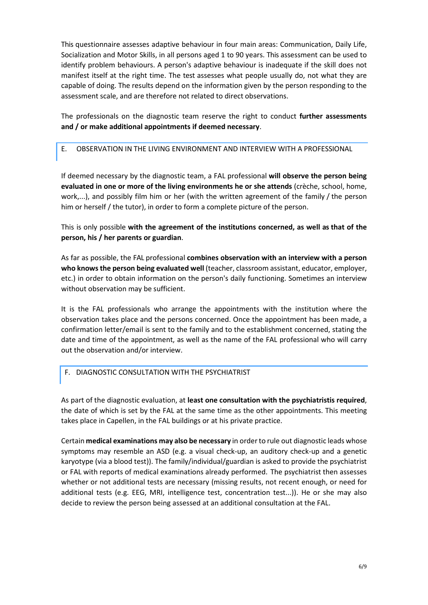This questionnaire assesses adaptive behaviour in four main areas: Communication, Daily Life, Socialization and Motor Skills, in all persons aged 1 to 90 years. This assessment can be used to identify problem behaviours. A person's adaptive behaviour is inadequate if the skill does not manifest itself at the right time. The test assesses what people usually do, not what they are capable of doing. The results depend on the information given by the person responding to the assessment scale, and are therefore not related to direct observations.

The professionals on the diagnostic team reserve the right to conduct further assessments and / or make additional appointments if deemed necessary.

E. OBSERVATION IN THE LIVING ENVIRONMENT AND INTERVIEW WITH A PROFESSIONAL

If deemed necessary by the diagnostic team, a FAL professional will observe the person being evaluated in one or more of the living environments he or she attends (crèche, school, home, work,...), and possibly film him or her (with the written agreement of the family / the person him or herself / the tutor), in order to form a complete picture of the person.

This is only possible with the agreement of the institutions concerned, as well as that of the person, his / her parents or guardian.

As far as possible, the FAL professional combines observation with an interview with a person who knows the person being evaluated well (teacher, classroom assistant, educator, employer, etc.) in order to obtain information on the person's daily functioning. Sometimes an interview without observation may be sufficient.

It is the FAL professionals who arrange the appointments with the institution where the observation takes place and the persons concerned. Once the appointment has been made, a confirmation letter/email is sent to the family and to the establishment concerned, stating the date and time of the appointment, as well as the name of the FAL professional who will carry out the observation and/or interview.

# F. DIAGNOSTIC CONSULTATION WITH THE PSYCHIATRIST

As part of the diagnostic evaluation, at least one consultation with the psychiatristis required, the date of which is set by the FAL at the same time as the other appointments. This meeting takes place in Capellen, in the FAL buildings or at his private practice.

Certain medical examinations may also be necessary in order to rule out diagnostic leads whose symptoms may resemble an ASD (e.g. a visual check-up, an auditory check-up and a genetic karyotype (via a blood test)). The family/individual/guardian is asked to provide the psychiatrist or FAL with reports of medical examinations already performed. The psychiatrist then assesses whether or not additional tests are necessary (missing results, not recent enough, or need for additional tests (e.g. EEG, MRI, intelligence test, concentration test...)). He or she may also decide to review the person being assessed at an additional consultation at the FAL.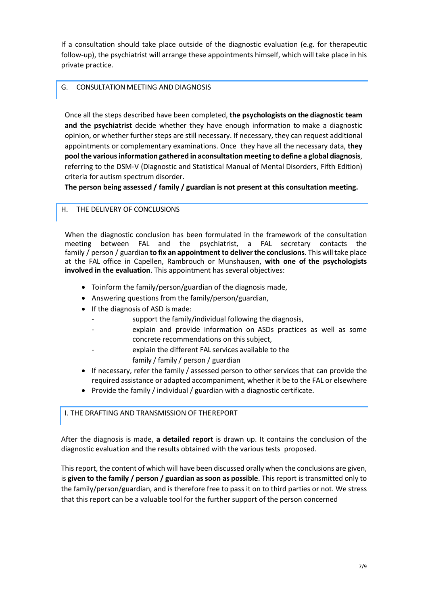If a consultation should take place outside of the diagnostic evaluation (e.g. for therapeutic follow-up), the psychiatrist will arrange these appointments himself, which will take place in his private practice.

### G. CONSULTATION MEETING AND DIAGNOSIS

Once all the steps described have been completed, the psychologists on the diagnostic team and the psychiatrist decide whether they have enough information to make a diagnostic opinion, or whether further steps are still necessary. If necessary, they can request additional appointments or complementary examinations. Once they have all the necessary data, they pool the various information gathered in a consultation meeting to define a global diagnosis, referring to the DSM-V (Diagnostic and Statistical Manual of Mental Disorders, Fifth Edition) criteria for autism spectrum disorder.

The person being assessed / family / guardian is not present at this consultation meeting.

## H. THE DELIVERY OF CONCLUSIONS

When the diagnostic conclusion has been formulated in the framework of the consultation meeting between FAL and the psychiatrist, a FAL secretary contacts the family / person / guardian to fix an appointment to deliver the conclusions. This will take place at the FAL office in Capellen, Rambrouch or Munshausen, with one of the psychologists involved in the evaluation. This appointment has several objectives:

- To inform the family/person/guardian of the diagnosis made,
- Answering questions from the family/person/guardian,
- If the diagnosis of ASD is made:
	- support the family/individual following the diagnosis,
	- explain and provide information on ASDs practices as well as some concrete recommendations on this subject,
	- explain the different FAL services available to the
		- family / family / person / guardian
- If necessary, refer the family / assessed person to other services that can provide the required assistance or adapted accompaniment, whether it be to the FAL or elsewhere
- Provide the family / individual / guardian with a diagnostic certificate.

### I. THE DRAFTING AND TRANSMISSION OF THE REPORT

After the diagnosis is made, a **detailed report** is drawn up. It contains the conclusion of the diagnostic evaluation and the results obtained with the various tests proposed.

This report, the content of which will have been discussed orally when the conclusions are given, is given to the family / person / guardian as soon as possible. This report is transmitted only to the family/person/guardian, and is therefore free to pass it on to third parties or not. We stress that this report can be a valuable tool for the further support of the person concerned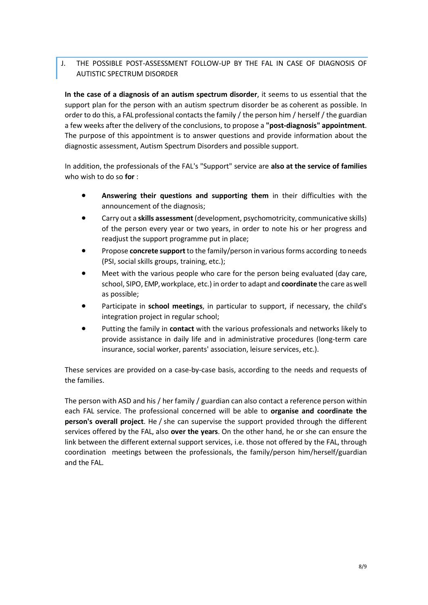# J. THE POSSIBLE POST-ASSESSMENT FOLLOW-UP BY THE FAL IN CASE OF DIAGNOSIS OF AUTISTIC SPECTRUM DISORDER

In the case of a diagnosis of an autism spectrum disorder, it seems to us essential that the support plan for the person with an autism spectrum disorder be as coherent as possible. In order to do this, a FAL professional contacts the family / the person him / herself / the guardian a few weeks after the delivery of the conclusions, to propose a "post-diagnosis" appointment. The purpose of this appointment is to answer questions and provide information about the diagnostic assessment, Autism Spectrum Disorders and possible support.

In addition, the professionals of the FAL's "Support" service are also at the service of families who wish to do so for :

- Answering their questions and supporting them in their difficulties with the announcement of the diagnosis;
- Carry out a skills assessment (development, psychomotricity, communicative skills) of the person every year or two years, in order to note his or her progress and readjust the support programme put in place;
- Propose concrete support to the family/person in various forms according to needs (PSI, social skills groups, training, etc.);
- Meet with the various people who care for the person being evaluated (day care, school, SIPO, EMP, workplace, etc.) in order to adapt and coordinate the care as well as possible;
- **•** Participate in school meetings, in particular to support, if necessary, the child's integration project in regular school;
- Putting the family in **contact** with the various professionals and networks likely to provide assistance in daily life and in administrative procedures (long-term care insurance, social worker, parents' association, leisure services, etc.).

These services are provided on a case-by-case basis, according to the needs and requests of the families.

The person with ASD and his / her family / guardian can also contact a reference person within each FAL service. The professional concerned will be able to organise and coordinate the person's overall project. He / she can supervise the support provided through the different services offered by the FAL, also over the years. On the other hand, he or she can ensure the link between the different external support services, i.e. those not offered by the FAL, through coordination meetings between the professionals, the family/person him/herself/guardian and the FAL.